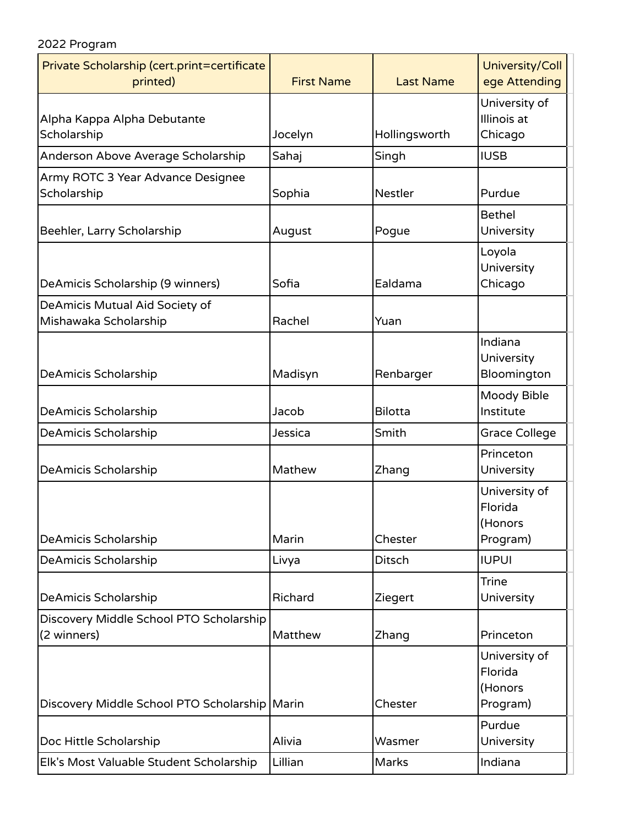## 2022 Program

| Private Scholarship (cert.print=certificate<br>printed) | <b>First Name</b> | <b>Last Name</b> | University/Coll<br>ege Attending                |
|---------------------------------------------------------|-------------------|------------------|-------------------------------------------------|
| Alpha Kappa Alpha Debutante<br>Scholarship              | Jocelyn           | Hollingsworth    | University of<br>Illinois at<br>Chicago         |
| Anderson Above Average Scholarship                      | Sahaj             | Singh            | <b>IUSB</b>                                     |
| Army ROTC 3 Year Advance Designee<br>Scholarship        | Sophia            | <b>Nestler</b>   | Purdue                                          |
| Beehler, Larry Scholarship                              | August            | Pogue            | <b>Bethel</b><br>University                     |
| DeAmicis Scholarship (9 winners)                        | Sofia             | Ealdama          | Loyola<br>University<br>Chicago                 |
| DeAmicis Mutual Aid Society of<br>Mishawaka Scholarship | Rachel            | Yuan             |                                                 |
| DeAmicis Scholarship                                    | Madisyn           | Renbarger        | Indiana<br>University<br>Bloomington            |
| DeAmicis Scholarship                                    | Jacob             | <b>Bilotta</b>   | Moody Bible<br>Institute                        |
| DeAmicis Scholarship                                    | Jessica           | Smith            | <b>Grace College</b>                            |
| DeAmicis Scholarship                                    | Mathew            | Zhang            | Princeton<br>University                         |
| DeAmicis Scholarship                                    | Marin             | Chester          | University of<br>Florida<br>(Honors<br>Program) |
| DeAmicis Scholarship                                    | Livya             | <b>Ditsch</b>    | <b>IUPUI</b>                                    |
| DeAmicis Scholarship                                    | Richard           | Ziegert          | <b>Trine</b><br>University                      |
| Discovery Middle School PTO Scholarship<br>(2 winners)  | Matthew           | Zhang            | Princeton                                       |
| Discovery Middle School PTO Scholarship Marin           |                   | Chester          | University of<br>Florida<br>(Honors<br>Program) |
| Doc Hittle Scholarship                                  | Alivia            | Wasmer           | Purdue<br>University                            |
| Elk's Most Valuable Student Scholarship                 | Lillian           | Marks            | Indiana                                         |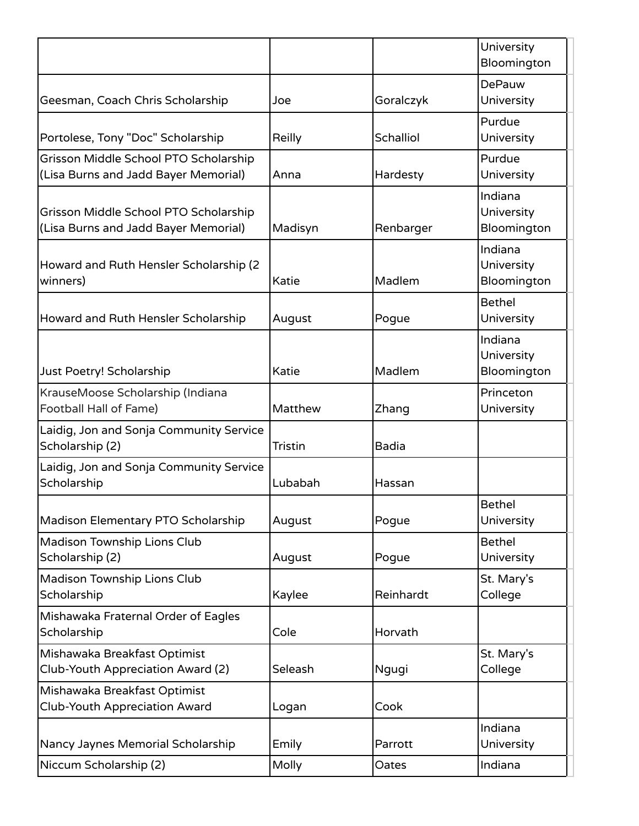|                                                                               |                |              | University<br>Bloomington            |
|-------------------------------------------------------------------------------|----------------|--------------|--------------------------------------|
| Geesman, Coach Chris Scholarship                                              | Joe            | Goralczyk    | DePauw<br>University                 |
| Portolese, Tony "Doc" Scholarship                                             | Reilly         | Schalliol    | Purdue<br>University                 |
| Grisson Middle School PTO Scholarship<br>(Lisa Burns and Jadd Bayer Memorial) | Anna           | Hardesty     | Purdue<br>University                 |
| Grisson Middle School PTO Scholarship<br>(Lisa Burns and Jadd Bayer Memorial) | Madisyn        | Renbarger    | Indiana<br>University<br>Bloomington |
| Howard and Ruth Hensler Scholarship (2<br>winners)                            | Katie          | Madlem       | Indiana<br>University<br>Bloomington |
| Howard and Ruth Hensler Scholarship                                           | August         | Pogue        | <b>Bethel</b><br>University          |
| Just Poetry! Scholarship                                                      | Katie          | Madlem       | Indiana<br>University<br>Bloomington |
| KrauseMoose Scholarship (Indiana<br>Football Hall of Fame)                    | Matthew        | Zhang        | Princeton<br>University              |
| Laidig, Jon and Sonja Community Service<br>Scholarship (2)                    | <b>Tristin</b> | <b>Badia</b> |                                      |
| Laidig, Jon and Sonja Community Service<br>Scholarship                        | Lubabah        | Hassan       |                                      |
| Madison Elementary PTO Scholarship                                            | August         | Pogue        | <b>Bethel</b><br>University          |
| Madison Township Lions Club<br>Scholarship (2)                                | August         | Pogue        | <b>Bethel</b><br>University          |
| Madison Township Lions Club<br>Scholarship                                    | Kaylee         | Reinhardt    | St. Mary's<br>College                |
| Mishawaka Fraternal Order of Eagles<br>Scholarship                            | Cole           | Horvath      |                                      |
| Mishawaka Breakfast Optimist<br>Club-Youth Appreciation Award (2)             | Seleash        | Ngugi        | St. Mary's<br>College                |
| Mishawaka Breakfast Optimist<br>Club-Youth Appreciation Award                 | Logan          | Cook         |                                      |
| Nancy Jaynes Memorial Scholarship                                             | Emily          | Parrott      | Indiana<br>University                |
| Niccum Scholarship (2)                                                        | Molly          | Oates        | Indiana                              |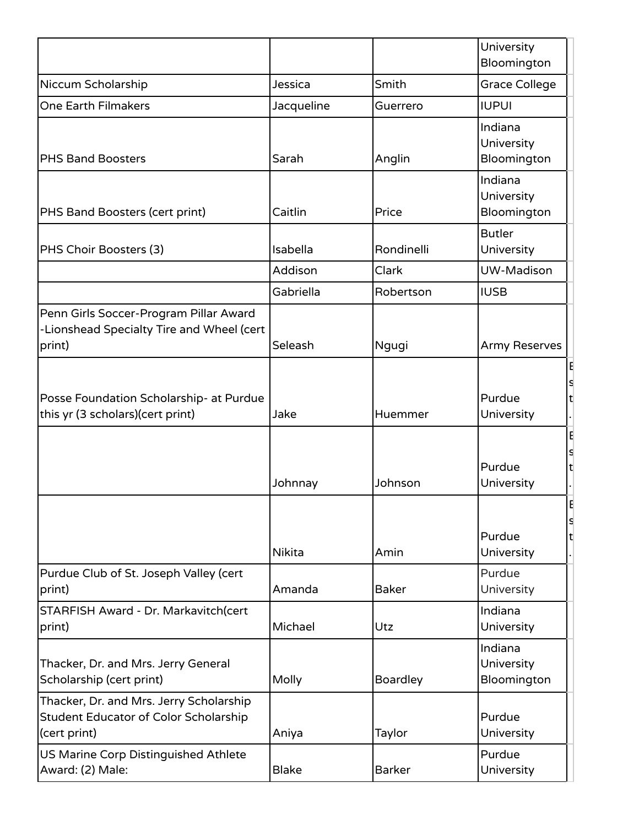|                                                                                                  |               |                 | University<br>Bloomington                |
|--------------------------------------------------------------------------------------------------|---------------|-----------------|------------------------------------------|
| Niccum Scholarship                                                                               | Jessica       | Smith           | <b>Grace College</b>                     |
| One Earth Filmakers                                                                              | Jacqueline    | Guerrero        | <b>IUPUI</b>                             |
| <b>PHS Band Boosters</b>                                                                         | Sarah         | Anglin          | Indiana<br>University<br>Bloomington     |
| <b>PHS Band Boosters (cert print)</b>                                                            | Caitlin       | Price           | Indiana<br>University<br>Bloomington     |
| PHS Choir Boosters (3)                                                                           | Isabella      | Rondinelli      | <b>Butler</b><br>University              |
|                                                                                                  | Addison       | Clark           | UW-Madison                               |
|                                                                                                  | Gabriella     | Robertson       | <b>IUSB</b>                              |
| Penn Girls Soccer-Program Pillar Award<br>-Lionshead Specialty Tire and Wheel (cert<br>print)    | Seleash       | Ngugi           | <b>Army Reserves</b>                     |
| Posse Foundation Scholarship- at Purdue<br>this yr (3 scholars) (cert print)                     | Jake          | Huemmer         | E<br>s<br>Purdue<br>t<br>University<br>E |
|                                                                                                  | Johnnay       | Johnson         | S<br>Purdue<br>t<br>University           |
|                                                                                                  | <b>Nikita</b> | Amin            | S<br>Purdue<br>lt.<br>University         |
| Purdue Club of St. Joseph Valley (cert<br>print)                                                 | Amanda        | <b>Baker</b>    | Purdue<br>University                     |
| STARFISH Award - Dr. Markavitch(cert<br>print)                                                   | Michael       | Utz             | Indiana<br>University                    |
| Thacker, Dr. and Mrs. Jerry General<br>Scholarship (cert print)                                  | Molly         | <b>Boardley</b> | Indiana<br>University<br>Bloomington     |
| Thacker, Dr. and Mrs. Jerry Scholarship<br>Student Educator of Color Scholarship<br>(cert print) | Aniya         | Taylor          | Purdue<br>University                     |
| US Marine Corp Distinguished Athlete<br>Award: (2) Male:                                         | <b>Blake</b>  | <b>Barker</b>   | Purdue<br>University                     |